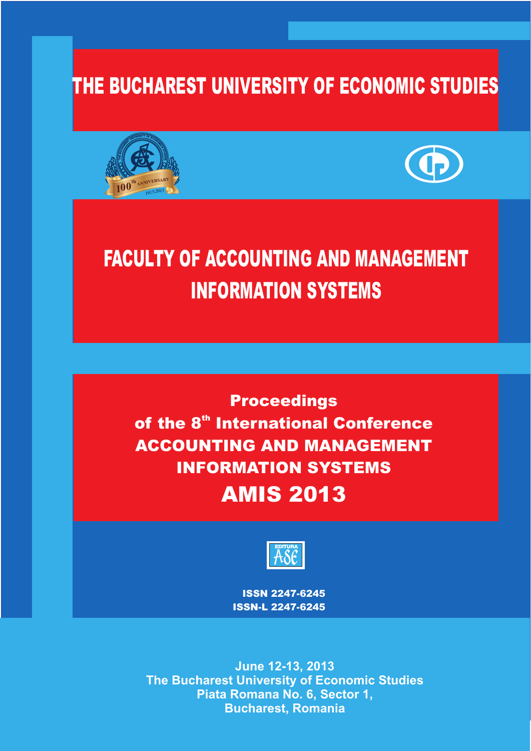## THE BUCHAREST **UNIVERSIT**Y OF ECONOMIC STUDIES





# FACULTY OF ACCOUNTING AND MANAGEMENT INFORMATION SYSTEMS

**Proceedings** of the 8<sup>th</sup> International Conference ACCOUNTING AND MANAGEMENT INFORMATION SYSTEMS AMIS 201**3**



IS**S**N 2247-6245 **ISSN-L 2247-6245**

**June 12-13, 2013<br>The Bucharest University of Economic Studies Piata Romana No. 6, Sector 1, Piata Romana No. 6, Sector 1, Bucharest, Romania**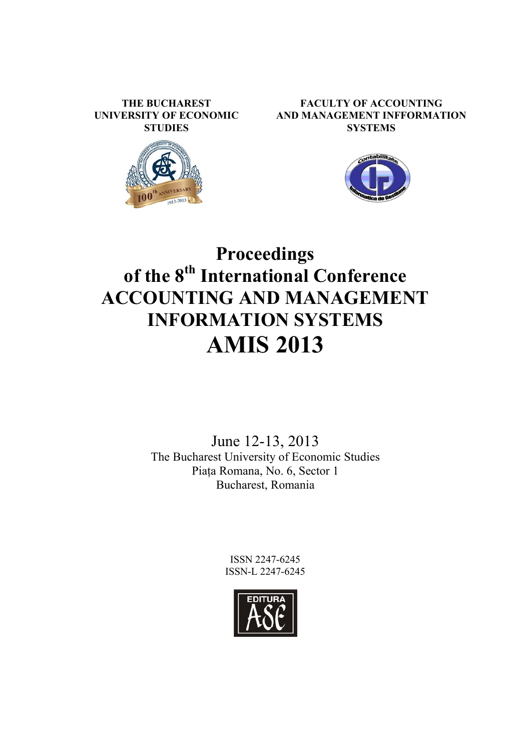**THE BUCHAREST UNIVERSITY OF ECONOMIC STUDIES** 







## **Proceedings of the 8th International Conference ACCOUNTING AND MANAGEMENT INFORMATION SYSTEMS AMIS 2013**

June 12-13, 2013 The Bucharest University of Economic Studies Piața Romana, No. 6, Sector 1 Bucharest, Romania

> ISSN 2247-6245 ISSN-L 2247-6245

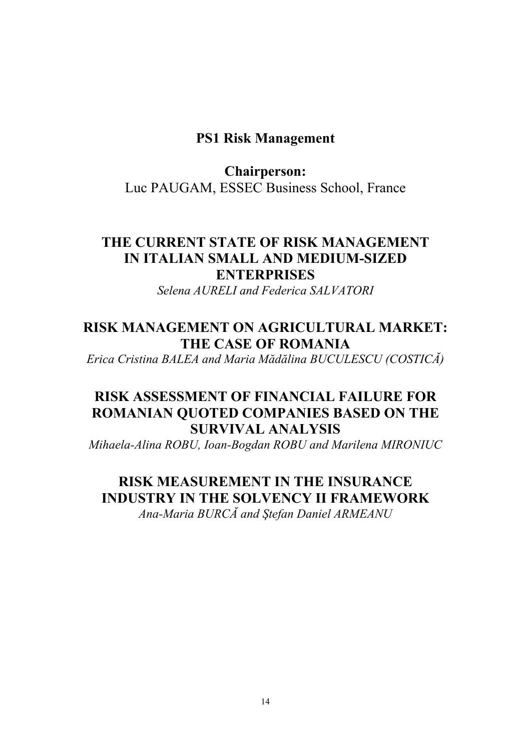### **PS1 Risk Management**

### **Chairperson:**  Luc PAUGAM, ESSEC Business School, France

## **THE CURRENT STATE OF RISK MANAGEMENT IN ITALIAN SMALL AND MEDIUM-SIZED ENTERPRISES**

*Selena AURELI and Federica SALVATORI* 

## **RISK MANAGEMENT ON AGRICULTURAL MARKET: THE CASE OF ROMANIA**

*Erica Cristina BALEA and Maria Mădălina BUCULESCU (COSTICĂ)* 

## **RISK ASSESSMENT OF FINANCIAL FAILURE FOR ROMANIAN QUOTED COMPANIES BASED ON THE SURVIVAL ANALYSIS**

*Mihaela-Alina ROBU, Ioan-Bogdan ROBU and Marilena MIRONIUC* 

**RISK MEASUREMENT IN THE INSURANCE INDUSTRY IN THE SOLVENCY II FRAMEWORK**  *Ana-Maria BURCĂ and ùtefan Daniel ARMEANU*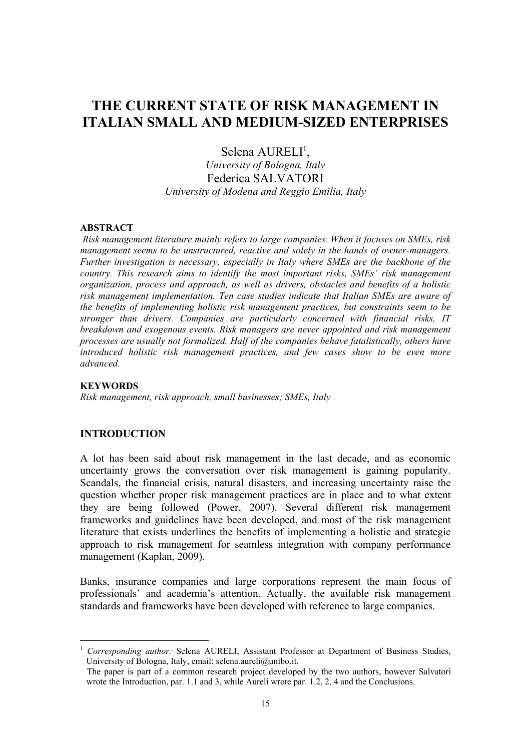## **THE CURRENT STATE OF RISK MANAGEMENT IN ITALIAN SMALL AND MEDIUM-SIZED ENTERPRISES**

Selena AURELI<sup>1</sup>,

*University of Bologna, Italy*  Federica SALVATORI *University of Modena and Reggio Emilia, Italy* 

#### **ABSTRACT**

*Risk management literature mainly refers to large companies. When it focuses on SMEs, risk management seems to be unstructured, reactive and solely in the hands of owner-managers. Further investigation is necessary, especially in Italy where SMEs are the backbone of the country. This research aims to identify the most important risks, SMEs' risk management organization, process and approach, as well as drivers, obstacles and benefits of a holistic risk management implementation. Ten case studies indicate that Italian SMEs are aware of the benefits of implementing holistic risk management practices, but constraints seem to be stronger than drivers. Companies are particularly concerned with financial risks, IT breakdown and exogenous events. Risk managers are never appointed and risk management processes are usually not formalized. Half of the companies behave fatalistically, others have introduced holistic risk management practices, and few cases show to be even more advanced.* 

#### **KEYWORDS**

 $\overline{a}$ 

*Risk management, risk approach, small businesses; SMEs, Italy*

#### **INTRODUCTION**

A lot has been said about risk management in the last decade, and as economic uncertainty grows the conversation over risk management is gaining popularity. Scandals, the financial crisis, natural disasters, and increasing uncertainty raise the question whether proper risk management practices are in place and to what extent they are being followed (Power, 2007). Several different risk management frameworks and guidelines have been developed, and most of the risk management literature that exists underlines the benefits of implementing a holistic and strategic approach to risk management for seamless integration with company performance management (Kaplan, 2009).

Banks, insurance companies and large corporations represent the main focus of professionals' and academia's attention. Actually, the available risk management standards and frameworks have been developed with reference to large companies.

<sup>1</sup> *Corresponding author:* Selena AURELI, Assistant Professor at Department of Business Studies, University of Bologna, Italy, email: selena.aureli@unibo.it.

The paper is part of a common research project developed by the two authors, however Salvatori wrote the Introduction, par. 1.1 and 3, while Aureli wrote par. 1.2, 2, 4 and the Conclusions.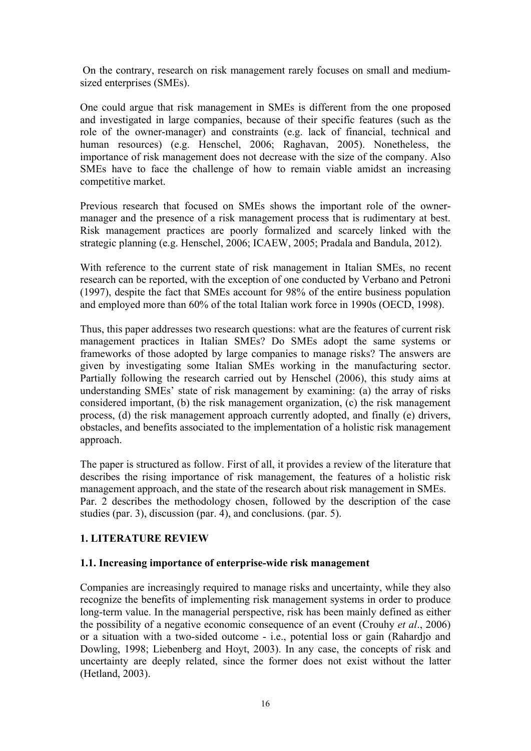On the contrary, research on risk management rarely focuses on small and mediumsized enterprises (SMEs).

One could argue that risk management in SMEs is different from the one proposed and investigated in large companies, because of their specific features (such as the role of the owner-manager) and constraints (e.g. lack of financial, technical and human resources) (e.g. Henschel, 2006; Raghavan, 2005). Nonetheless, the importance of risk management does not decrease with the size of the company. Also SMEs have to face the challenge of how to remain viable amidst an increasing competitive market.

Previous research that focused on SMEs shows the important role of the ownermanager and the presence of a risk management process that is rudimentary at best. Risk management practices are poorly formalized and scarcely linked with the strategic planning (e.g. Henschel, 2006; ICAEW, 2005; Pradala and Bandula, 2012).

With reference to the current state of risk management in Italian SMEs, no recent research can be reported, with the exception of one conducted by Verbano and Petroni (1997), despite the fact that SMEs account for 98% of the entire business population and employed more than 60% of the total Italian work force in 1990s (OECD, 1998).

Thus, this paper addresses two research questions: what are the features of current risk management practices in Italian SMEs? Do SMEs adopt the same systems or frameworks of those adopted by large companies to manage risks? The answers are given by investigating some Italian SMEs working in the manufacturing sector. Partially following the research carried out by Henschel (2006), this study aims at understanding SMEs' state of risk management by examining: (a) the array of risks considered important, (b) the risk management organization, (c) the risk management process, (d) the risk management approach currently adopted, and finally (e) drivers, obstacles, and benefits associated to the implementation of a holistic risk management approach.

The paper is structured as follow. First of all, it provides a review of the literature that describes the rising importance of risk management, the features of a holistic risk management approach, and the state of the research about risk management in SMEs. Par. 2 describes the methodology chosen, followed by the description of the case studies (par. 3), discussion (par. 4), and conclusions. (par. 5).

#### **1. LITERATURE REVIEW**

#### **1.1. Increasing importance of enterprise-wide risk management**

Companies are increasingly required to manage risks and uncertainty, while they also recognize the benefits of implementing risk management systems in order to produce long-term value. In the managerial perspective, risk has been mainly defined as either the possibility of a negative economic consequence of an event (Crouhy *et al*., 2006) or a situation with a two-sided outcome - i.e., potential loss or gain (Rahardjo and Dowling, 1998; Liebenberg and Hoyt, 2003). In any case, the concepts of risk and uncertainty are deeply related, since the former does not exist without the latter (Hetland, 2003).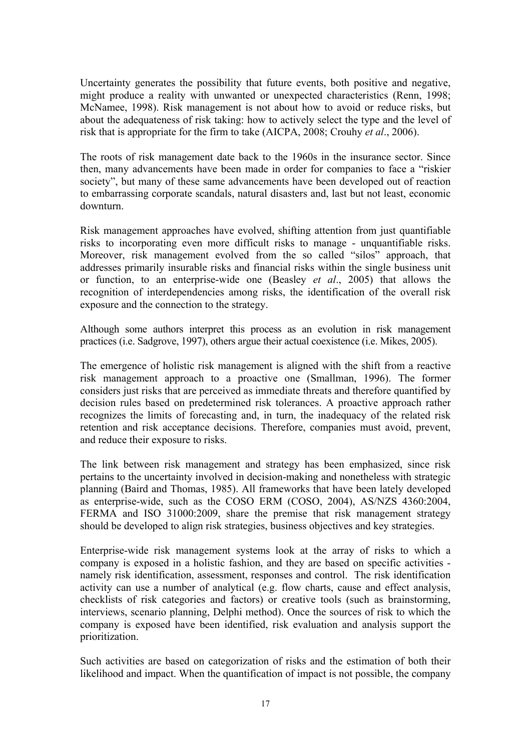Uncertainty generates the possibility that future events, both positive and negative, might produce a reality with unwanted or unexpected characteristics (Renn, 1998; McNamee, 1998). Risk management is not about how to avoid or reduce risks, but about the adequateness of risk taking: how to actively select the type and the level of risk that is appropriate for the firm to take (AICPA, 2008; Crouhy *et al*., 2006).

The roots of risk management date back to the 1960s in the insurance sector. Since then, many advancements have been made in order for companies to face a "riskier society", but many of these same advancements have been developed out of reaction to embarrassing corporate scandals, natural disasters and, last but not least, economic downturn.

Risk management approaches have evolved, shifting attention from just quantifiable risks to incorporating even more difficult risks to manage - unquantifiable risks. Moreover, risk management evolved from the so called "silos" approach, that addresses primarily insurable risks and financial risks within the single business unit or function, to an enterprise-wide one (Beasley *et al*., 2005) that allows the recognition of interdependencies among risks, the identification of the overall risk exposure and the connection to the strategy.

Although some authors interpret this process as an evolution in risk management practices (i.e. Sadgrove, 1997), others argue their actual coexistence (i.e. Mikes, 2005).

The emergence of holistic risk management is aligned with the shift from a reactive risk management approach to a proactive one (Smallman, 1996). The former considers just risks that are perceived as immediate threats and therefore quantified by decision rules based on predetermined risk tolerances. A proactive approach rather recognizes the limits of forecasting and, in turn, the inadequacy of the related risk retention and risk acceptance decisions. Therefore, companies must avoid, prevent, and reduce their exposure to risks.

The link between risk management and strategy has been emphasized, since risk pertains to the uncertainty involved in decision-making and nonetheless with strategic planning (Baird and Thomas, 1985). All frameworks that have been lately developed as enterprise-wide, such as the COSO ERM (COSO, 2004), AS/NZS 4360:2004, FERMA and ISO 31000:2009, share the premise that risk management strategy should be developed to align risk strategies, business objectives and key strategies.

Enterprise-wide risk management systems look at the array of risks to which a company is exposed in a holistic fashion, and they are based on specific activities namely risk identification, assessment, responses and control. The risk identification activity can use a number of analytical (e.g. flow charts, cause and effect analysis, checklists of risk categories and factors) or creative tools (such as brainstorming, interviews, scenario planning, Delphi method). Once the sources of risk to which the company is exposed have been identified, risk evaluation and analysis support the prioritization.

Such activities are based on categorization of risks and the estimation of both their likelihood and impact. When the quantification of impact is not possible, the company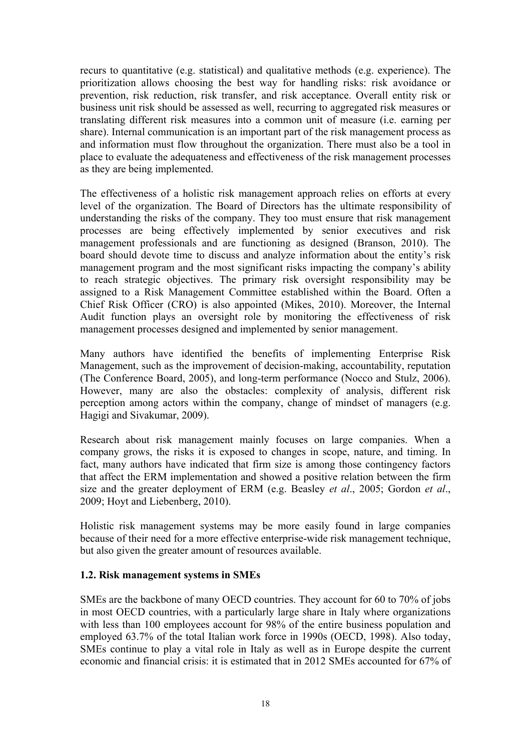recurs to quantitative (e.g. statistical) and qualitative methods (e.g. experience). The prioritization allows choosing the best way for handling risks: risk avoidance or prevention, risk reduction, risk transfer, and risk acceptance. Overall entity risk or business unit risk should be assessed as well, recurring to aggregated risk measures or translating different risk measures into a common unit of measure (i.e. earning per share). Internal communication is an important part of the risk management process as and information must flow throughout the organization. There must also be a tool in place to evaluate the adequateness and effectiveness of the risk management processes as they are being implemented.

The effectiveness of a holistic risk management approach relies on efforts at every level of the organization. The Board of Directors has the ultimate responsibility of understanding the risks of the company. They too must ensure that risk management processes are being effectively implemented by senior executives and risk management professionals and are functioning as designed (Branson, 2010). The board should devote time to discuss and analyze information about the entity's risk management program and the most significant risks impacting the company's ability to reach strategic objectives. The primary risk oversight responsibility may be assigned to a Risk Management Committee established within the Board. Often a Chief Risk Officer (CRO) is also appointed (Mikes, 2010). Moreover, the Internal Audit function plays an oversight role by monitoring the effectiveness of risk management processes designed and implemented by senior management.

Many authors have identified the benefits of implementing Enterprise Risk Management, such as the improvement of decision-making, accountability, reputation (The Conference Board, 2005), and long-term performance (Nocco and Stulz, 2006). However, many are also the obstacles: complexity of analysis, different risk perception among actors within the company, change of mindset of managers (e.g. Hagigi and Sivakumar, 2009).

Research about risk management mainly focuses on large companies. When a company grows, the risks it is exposed to changes in scope, nature, and timing. In fact, many authors have indicated that firm size is among those contingency factors that affect the ERM implementation and showed a positive relation between the firm size and the greater deployment of ERM (e.g. Beasley *et al*., 2005; Gordon *et al*., 2009; Hoyt and Liebenberg, 2010).

Holistic risk management systems may be more easily found in large companies because of their need for a more effective enterprise-wide risk management technique, but also given the greater amount of resources available.

#### **1.2. Risk management systems in SMEs**

SMEs are the backbone of many OECD countries. They account for 60 to 70% of jobs in most OECD countries, with a particularly large share in Italy where organizations with less than 100 employees account for 98% of the entire business population and employed 63.7% of the total Italian work force in 1990s (OECD, 1998). Also today, SMEs continue to play a vital role in Italy as well as in Europe despite the current economic and financial crisis: it is estimated that in 2012 SMEs accounted for 67% of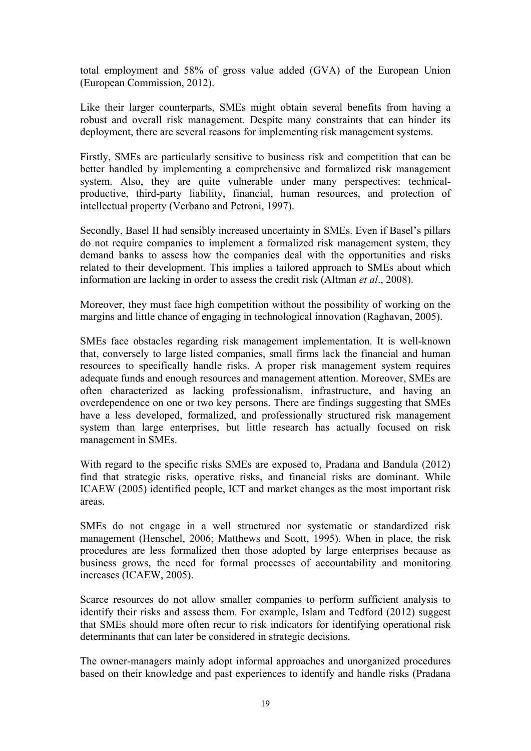total employment and 58% of gross value added (GVA) of the European Union (European Commission, 2012).

Like their larger counterparts, SMEs might obtain several benefits from having a robust and overall risk management. Despite many constraints that can hinder its deployment, there are several reasons for implementing risk management systems.

Firstly, SMEs are particularly sensitive to business risk and competition that can be better handled by implementing a comprehensive and formalized risk management system. Also, they are quite vulnerable under many perspectives: technicalproductive, third-party liability, financial, human resources, and protection of intellectual property (Verbano and Petroni, 1997).

Secondly, Basel II had sensibly increased uncertainty in SMEs. Even if Basel's pillars do not require companies to implement a formalized risk management system, they demand banks to assess how the companies deal with the opportunities and risks related to their development. This implies a tailored approach to SMEs about which information are lacking in order to assess the credit risk (Altman *et al*., 2008).

Moreover, they must face high competition without the possibility of working on the margins and little chance of engaging in technological innovation (Raghavan, 2005).

SMEs face obstacles regarding risk management implementation. It is well-known that, conversely to large listed companies, small firms lack the financial and human resources to specifically handle risks. A proper risk management system requires adequate funds and enough resources and management attention. Moreover, SMEs are often characterized as lacking professionalism, infrastructure, and having an overdependence on one or two key persons. There are findings suggesting that SMEs have a less developed, formalized, and professionally structured risk management system than large enterprises, but little research has actually focused on risk management in SMEs.

With regard to the specific risks SMEs are exposed to, Pradana and Bandula (2012) find that strategic risks, operative risks, and financial risks are dominant. While ICAEW (2005) identified people, ICT and market changes as the most important risk areas.

SMEs do not engage in a well structured nor systematic or standardized risk management (Henschel, 2006; Matthews and Scott, 1995). When in place, the risk procedures are less formalized then those adopted by large enterprises because as business grows, the need for formal processes of accountability and monitoring increases (ICAEW, 2005).

Scarce resources do not allow smaller companies to perform sufficient analysis to identify their risks and assess them. For example, Islam and Tedford (2012) suggest that SMEs should more often recur to risk indicators for identifying operational risk determinants that can later be considered in strategic decisions.

The owner-managers mainly adopt informal approaches and unorganized procedures based on their knowledge and past experiences to identify and handle risks (Pradana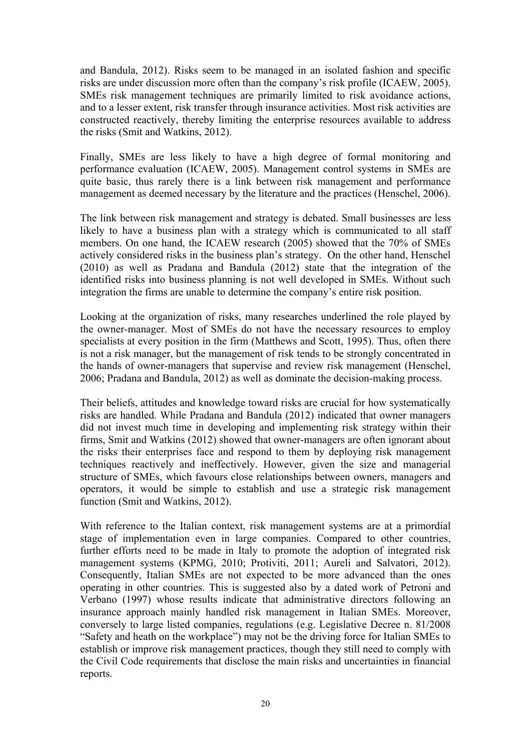and Bandula, 2012). Risks seem to be managed in an isolated fashion and specific risks are under discussion more often than the company's risk profile (ICAEW, 2005). SMEs risk management techniques are primarily limited to risk avoidance actions, and to a lesser extent, risk transfer through insurance activities. Most risk activities are constructed reactively, thereby limiting the enterprise resources available to address the risks (Smit and Watkins, 2012).

Finally, SMEs are less likely to have a high degree of formal monitoring and performance evaluation (ICAEW, 2005). Management control systems in SMEs are quite basic, thus rarely there is a link between risk management and performance management as deemed necessary by the literature and the practices (Henschel, 2006).

The link between risk management and strategy is debated. Small businesses are less likely to have a business plan with a strategy which is communicated to all staff members. On one hand, the ICAEW research (2005) showed that the 70% of SMEs actively considered risks in the business plan's strategy. On the other hand, Henschel (2010) as well as Pradana and Bandula (2012) state that the integration of the identified risks into business planning is not well developed in SMEs. Without such integration the firms are unable to determine the company's entire risk position.

Looking at the organization of risks, many researches underlined the role played by the owner-manager. Most of SMEs do not have the necessary resources to employ specialists at every position in the firm (Matthews and Scott, 1995). Thus, often there is not a risk manager, but the management of risk tends to be strongly concentrated in the hands of owner-managers that supervise and review risk management (Henschel, 2006; Pradana and Bandula, 2012) as well as dominate the decision-making process.

Their beliefs, attitudes and knowledge toward risks are crucial for how systematically risks are handled. While Pradana and Bandula (2012) indicated that owner managers did not invest much time in developing and implementing risk strategy within their firms, Smit and Watkins (2012) showed that owner-managers are often ignorant about the risks their enterprises face and respond to them by deploying risk management techniques reactively and ineffectively. However, given the size and managerial structure of SMEs, which favours close relationships between owners, managers and operators, it would be simple to establish and use a strategic risk management function (Smit and Watkins, 2012).

With reference to the Italian context, risk management systems are at a primordial stage of implementation even in large companies. Compared to other countries, further efforts need to be made in Italy to promote the adoption of integrated risk management systems (KPMG, 2010; Protiviti, 2011; Aureli and Salvatori, 2012). Consequently, Italian SMEs are not expected to be more advanced than the ones operating in other countries. This is suggested also by a dated work of Petroni and Verbano (1997) whose results indicate that administrative directors following an insurance approach mainly handled risk management in Italian SMEs. Moreover, conversely to large listed companies, regulations (e.g. Legislative Decree n. 81/2008 "Safety and heath on the workplace") may not be the driving force for Italian SMEs to establish or improve risk management practices, though they still need to comply with the Civil Code requirements that disclose the main risks and uncertainties in financial reports.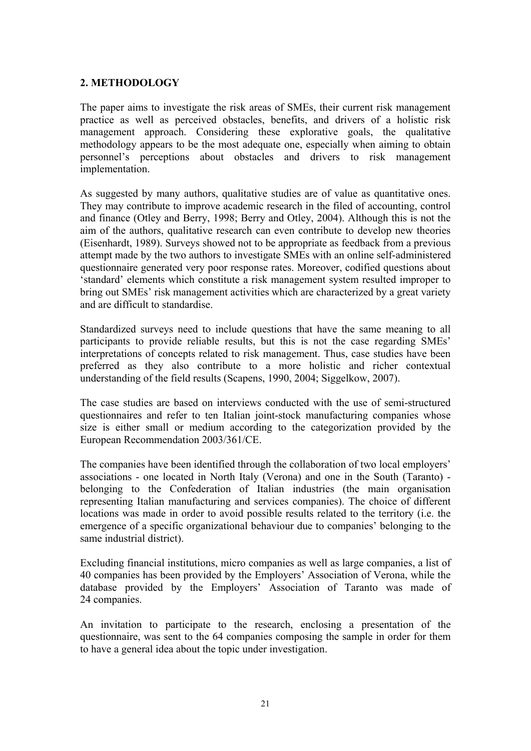#### **2. METHODOLOGY**

The paper aims to investigate the risk areas of SMEs, their current risk management practice as well as perceived obstacles, benefits, and drivers of a holistic risk management approach. Considering these explorative goals, the qualitative methodology appears to be the most adequate one, especially when aiming to obtain personnel's perceptions about obstacles and drivers to risk management implementation.

As suggested by many authors, qualitative studies are of value as quantitative ones. They may contribute to improve academic research in the filed of accounting, control and finance (Otley and Berry, 1998; Berry and Otley, 2004). Although this is not the aim of the authors, qualitative research can even contribute to develop new theories (Eisenhardt, 1989). Surveys showed not to be appropriate as feedback from a previous attempt made by the two authors to investigate SMEs with an online self-administered questionnaire generated very poor response rates. Moreover, codified questions about 'standard' elements which constitute a risk management system resulted improper to bring out SMEs' risk management activities which are characterized by a great variety and are difficult to standardise.

Standardized surveys need to include questions that have the same meaning to all participants to provide reliable results, but this is not the case regarding SMEs' interpretations of concepts related to risk management. Thus, case studies have been preferred as they also contribute to a more holistic and richer contextual understanding of the field results (Scapens, 1990, 2004; Siggelkow, 2007).

The case studies are based on interviews conducted with the use of semi-structured questionnaires and refer to ten Italian joint-stock manufacturing companies whose size is either small or medium according to the categorization provided by the European Recommendation 2003/361/CE.

The companies have been identified through the collaboration of two local employers' associations - one located in North Italy (Verona) and one in the South (Taranto) belonging to the Confederation of Italian industries (the main organisation representing Italian manufacturing and services companies). The choice of different locations was made in order to avoid possible results related to the territory (i.e. the emergence of a specific organizational behaviour due to companies' belonging to the same industrial district).

Excluding financial institutions, micro companies as well as large companies, a list of 40 companies has been provided by the Employers' Association of Verona, while the database provided by the Employers' Association of Taranto was made of 24 companies.

An invitation to participate to the research, enclosing a presentation of the questionnaire, was sent to the 64 companies composing the sample in order for them to have a general idea about the topic under investigation.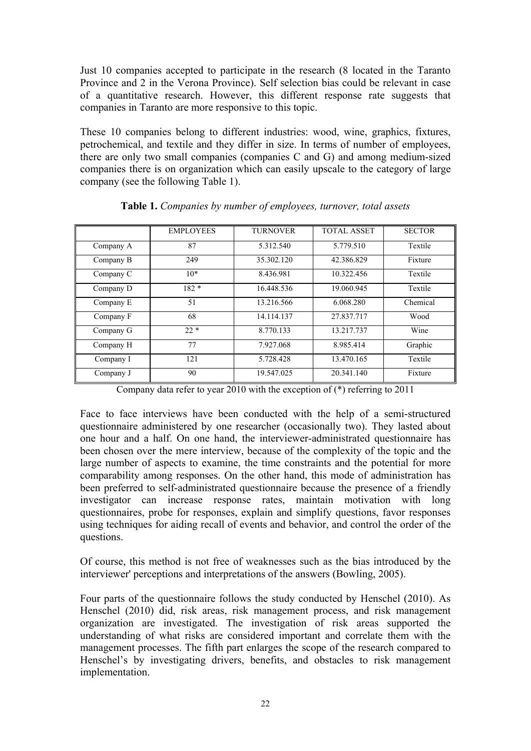Just 10 companies accepted to participate in the research (8 located in the Taranto Province and 2 in the Verona Province). Self selection bias could be relevant in case of a quantitative research. However, this different response rate suggests that companies in Taranto are more responsive to this topic.

These 10 companies belong to different industries: wood, wine, graphics, fixtures, petrochemical, and textile and they differ in size. In terms of number of employees, there are only two small companies (companies C and G) and among medium-sized companies there is on organization which can easily upscale to the category of large company (see the following Table 1).

|           | <b>EMPLOYEES</b> | <b>TURNOVER</b> | <b>TOTAL ASSET</b> | <b>SECTOR</b> |
|-----------|------------------|-----------------|--------------------|---------------|
| Company A | 87               | 5.312.540       | 5.779.510          | Textile       |
| Company B | 249              | 35.302.120      | 42.386.829         | Fixture       |
| Company C | $10*$            | 8.436.981       | 10.322.456         | Textile       |
| Company D | $182*$           | 16.448.536      | 19.060.945         | Textile       |
| Company E | 51               | 13.216.566      | 6.068.280          | Chemical      |
| Company F | 68               | 14.114.137      | 27.837.717         | Wood          |
| Company G | $22 *$           | 8.770.133       | 13.217.737         | Wine          |
| Company H | 77               | 7.927.068       | 8.985.414          | Graphic       |
| Company I | 121              | 5.728.428       | 13.470.165         | Textile       |
| Company J | 90               | 19.547.025      | 20.341.140         | Fixture       |

**Table 1.** *Companies by number of employees, turnover, total assets* 

Company data refer to year 2010 with the exception of (\*) referring to 2011

Face to face interviews have been conducted with the help of a semi-structured questionnaire administered by one researcher (occasionally two). They lasted about one hour and a half. On one hand, the interviewer-administrated questionnaire has been chosen over the mere interview, because of the complexity of the topic and the large number of aspects to examine, the time constraints and the potential for more comparability among responses. On the other hand, this mode of administration has been preferred to self-administrated questionnaire because the presence of a friendly investigator can increase response rates, maintain motivation with long questionnaires, probe for responses, explain and simplify questions, favor responses using techniques for aiding recall of events and behavior, and control the order of the questions.

Of course, this method is not free of weaknesses such as the bias introduced by the interviewer' perceptions and interpretations of the answers (Bowling, 2005).

Four parts of the questionnaire follows the study conducted by Henschel (2010). As Henschel (2010) did, risk areas, risk management process, and risk management organization are investigated. The investigation of risk areas supported the understanding of what risks are considered important and correlate them with the management processes. The fifth part enlarges the scope of the research compared to Henschel's by investigating drivers, benefits, and obstacles to risk management implementation.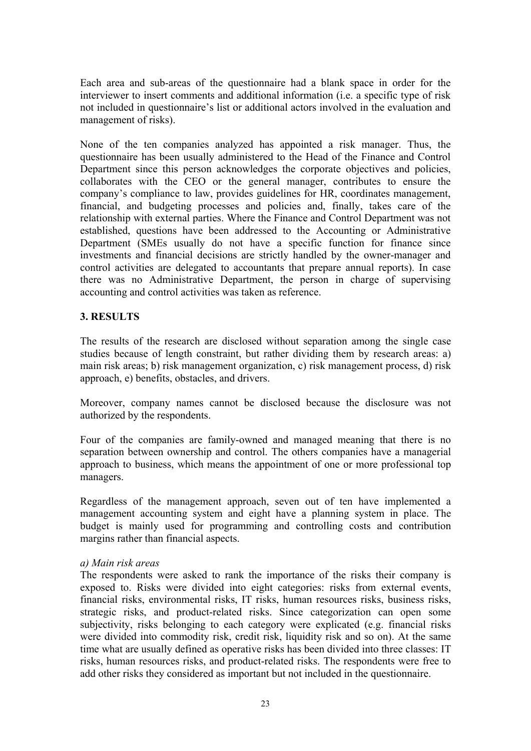Each area and sub-areas of the questionnaire had a blank space in order for the interviewer to insert comments and additional information (i.e. a specific type of risk not included in questionnaire's list or additional actors involved in the evaluation and management of risks).

None of the ten companies analyzed has appointed a risk manager. Thus, the questionnaire has been usually administered to the Head of the Finance and Control Department since this person acknowledges the corporate objectives and policies, collaborates with the CEO or the general manager, contributes to ensure the company's compliance to law, provides guidelines for HR, coordinates management, financial, and budgeting processes and policies and, finally, takes care of the relationship with external parties. Where the Finance and Control Department was not established, questions have been addressed to the Accounting or Administrative Department (SMEs usually do not have a specific function for finance since investments and financial decisions are strictly handled by the owner-manager and control activities are delegated to accountants that prepare annual reports). In case there was no Administrative Department, the person in charge of supervising accounting and control activities was taken as reference.

#### **3. RESULTS**

The results of the research are disclosed without separation among the single case studies because of length constraint, but rather dividing them by research areas: a) main risk areas; b) risk management organization, c) risk management process, d) risk approach, e) benefits, obstacles, and drivers.

Moreover, company names cannot be disclosed because the disclosure was not authorized by the respondents.

Four of the companies are family-owned and managed meaning that there is no separation between ownership and control. The others companies have a managerial approach to business, which means the appointment of one or more professional top managers.

Regardless of the management approach, seven out of ten have implemented a management accounting system and eight have a planning system in place. The budget is mainly used for programming and controlling costs and contribution margins rather than financial aspects.

#### *a) Main risk areas*

The respondents were asked to rank the importance of the risks their company is exposed to. Risks were divided into eight categories: risks from external events, financial risks, environmental risks, IT risks, human resources risks, business risks, strategic risks, and product-related risks. Since categorization can open some subjectivity, risks belonging to each category were explicated (e.g. financial risks were divided into commodity risk, credit risk, liquidity risk and so on). At the same time what are usually defined as operative risks has been divided into three classes: IT risks, human resources risks, and product-related risks. The respondents were free to add other risks they considered as important but not included in the questionnaire.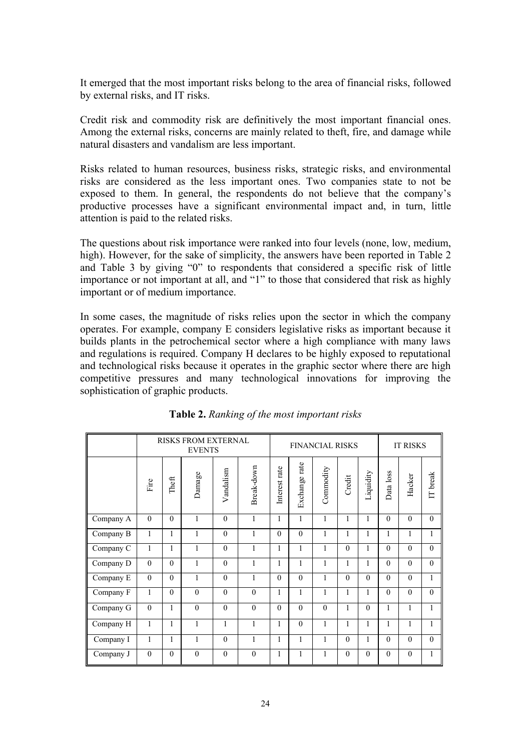It emerged that the most important risks belong to the area of financial risks, followed by external risks, and IT risks.

Credit risk and commodity risk are definitively the most important financial ones. Among the external risks, concerns are mainly related to theft, fire, and damage while natural disasters and vandalism are less important.

Risks related to human resources, business risks, strategic risks, and environmental risks are considered as the less important ones. Two companies state to not be exposed to them. In general, the respondents do not believe that the company's productive processes have a significant environmental impact and, in turn, little attention is paid to the related risks.

The questions about risk importance were ranked into four levels (none, low, medium, high). However, for the sake of simplicity, the answers have been reported in Table 2 and Table 3 by giving "0" to respondents that considered a specific risk of little importance or not important at all, and "1" to those that considered that risk as highly important or of medium importance.

In some cases, the magnitude of risks relies upon the sector in which the company operates. For example, company E considers legislative risks as important because it builds plants in the petrochemical sector where a high compliance with many laws and regulations is required. Company H declares to be highly exposed to reputational and technological risks because it operates in the graphic sector where there are high competitive pressures and many technological innovations for improving the sophistication of graphic products.

|           | <b>RISKS FROM EXTERNAL</b><br><b>EVENTS</b> |          |              |           |              |               | <b>FINANCIAL RISKS</b> |              |              |           | <b>IT RISKS</b> |              |                |
|-----------|---------------------------------------------|----------|--------------|-----------|--------------|---------------|------------------------|--------------|--------------|-----------|-----------------|--------------|----------------|
|           | Fire                                        | Theft    | Damage       | Vandalism | Break-down   | Interest rate | Exchange rate          | Commodity    | Credit       | Liquidity | Data loss       | Hacker       | IT break       |
| Company A | $\theta$                                    | $\theta$ | 1            | $\theta$  | 1            | 1             | 1                      | 1            | 1            | 1         | $\theta$        | $\theta$     | $\theta$       |
| Company B | $\mathbf{1}$                                | 1        | 1            | $\theta$  | $\mathbf{1}$ | $\theta$      | $\theta$               | $\mathbf{1}$ | $\mathbf{1}$ | 1         | 1               | $\mathbf{1}$ | 1              |
| Company C | 1                                           | 1        | 1            | $\theta$  | 1            | 1             | 1                      | 1            | $\theta$     | 1         | $\theta$        | $\theta$     | $\theta$       |
| Company D | $\theta$                                    | $\theta$ | 1            | $\theta$  | 1            | 1             | 1                      | 1            | $\mathbf{1}$ | 1         | $\theta$        | $\theta$     | $\theta$       |
| Company E | $\theta$                                    | $\Omega$ | $\mathbf{1}$ | $\theta$  | $\mathbf{1}$ | $\Omega$      | $\Omega$               | 1            | $\Omega$     | $\Omega$  | $\Omega$        | $\theta$     | $\mathbf{1}$   |
| Company F | 1                                           | $\theta$ | $\theta$     | $\theta$  | $\theta$     | $\mathbf{1}$  | 1                      | 1            | 1            | 1         | $\theta$        | $\theta$     | $\overline{0}$ |
| Company G | $\theta$                                    | 1        | $\theta$     | $\theta$  | $\theta$     | $\theta$      | $\Omega$               | $\theta$     | $\mathbf{1}$ | $\theta$  | 1               | $\mathbf{1}$ | 1              |
| Company H | 1                                           | 1        | 1            | 1         | 1            | $\mathbf{1}$  | $\theta$               | 1            | $\mathbf{1}$ | 1         | 1               | $\mathbf{1}$ | $\mathbf{1}$   |
| Company I | 1                                           | 1        | $\mathbf{1}$ | $\theta$  | $\mathbf{1}$ | $\mathbf{1}$  | 1                      | 1            | $\Omega$     | 1         | $\Omega$        | $\theta$     | $\theta$       |
| Company J | $\mathbf{0}$                                | $\theta$ | $\theta$     | $\theta$  | $\mathbf{0}$ | $\mathbf{1}$  | 1                      | $\mathbf{1}$ | $\Omega$     | $\Omega$  | $\Omega$        | $\mathbf{0}$ | $\mathbf{1}$   |

|  |  |  |  | Table 2. Ranking of the most important risks |  |
|--|--|--|--|----------------------------------------------|--|
|--|--|--|--|----------------------------------------------|--|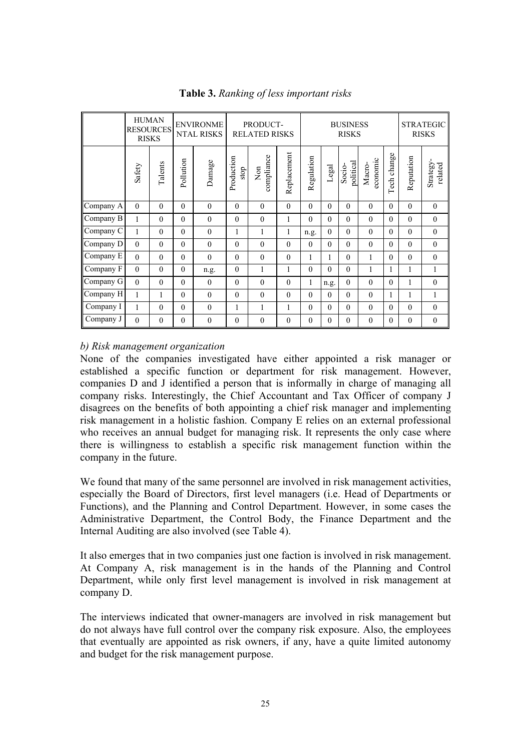|           | <b>HUMAN</b><br><b>RESOURCES</b><br><b>RISKS</b> |          | <b>ENVIRONME</b><br><b>NTAL RISKS</b> |              | PRODUCT-<br><b>RELATED RISKS</b> |                                |              | <b>BUSINESS</b><br><b>RISKS</b> |              |                     |                    | <b>STRATEGIC</b><br><b>RISKS</b> |              |                      |
|-----------|--------------------------------------------------|----------|---------------------------------------|--------------|----------------------------------|--------------------------------|--------------|---------------------------------|--------------|---------------------|--------------------|----------------------------------|--------------|----------------------|
|           | Safety                                           | Talents  | Pollution                             | Damage       | Production<br>stop               | compliance<br>$\sum_{i=1}^{n}$ | Replacement  | Regulation                      | Legal        | political<br>Socio- | sconomic<br>Macro- | change<br>Tech                   | Reputation   | Strategy-<br>related |
| Company A | $\Omega$                                         | $\theta$ | $\theta$                              | $\theta$     | $\theta$                         | $\theta$                       | $\theta$     | $\Omega$                        | $\theta$     | $\theta$            | $\theta$           | $\theta$                         | $\theta$     | $\mathbf{0}$         |
| Company B | 1                                                | $\theta$ | $\theta$                              | $\theta$     | $\theta$                         | $\theta$                       | 1            | $\theta$                        | $\theta$     | $\theta$            | $\theta$           | $\Omega$                         | $\theta$     | $\boldsymbol{0}$     |
| Company C | 1                                                | $\theta$ | $\theta$                              | $\theta$     | 1                                | $\mathbf{1}$                   | 1            | n.g.                            | $\mathbf{0}$ | $\theta$            | $\theta$           | $\Omega$                         | $\theta$     | $\boldsymbol{0}$     |
| Company D | $\theta$                                         | $\theta$ | $\theta$                              | $\theta$     | $\theta$                         | $\theta$                       | $\theta$     | $\mathbf{0}$                    | $\theta$     | $\theta$            | $\theta$           | $\Omega$                         | $\theta$     | $\boldsymbol{0}$     |
| Company E | $\theta$                                         | $\theta$ | $\theta$                              | $\theta$     | $\theta$                         | $\theta$                       | $\theta$     | 1                               | 1            | $\theta$            | $\mathbf{1}$       | $\Omega$                         | $\theta$     | $\mathbf{0}$         |
| Company F | $\theta$                                         | $\theta$ | $\theta$                              | n.g.         | $\theta$                         | $\mathbf{1}$                   | 1            | $\theta$                        | $\theta$     | $\theta$            | $\mathbf{1}$       | 1                                | 1            | $\mathbf{1}$         |
| Company G | $\theta$                                         | $\theta$ | $\theta$                              | $\theta$     | $\theta$                         | $\Omega$                       | $\theta$     | $\mathbf{1}$                    | n.g.         | $\theta$            | $\theta$           | $\Omega$                         | 1            | $\mathbf{0}$         |
| Company H | 1                                                | 1        | $\theta$                              | $\theta$     | $\theta$                         | $\Omega$                       | $\mathbf{0}$ | $\mathbf{0}$                    | $\theta$     | $\theta$            | $\theta$           |                                  | $\mathbf{1}$ | $\mathbf{1}$         |
| Company I | 1                                                | $\theta$ | $\theta$                              | $\theta$     | $\mathbf{1}$                     | 1                              | $\mathbf{1}$ | $\mathbf{0}$                    | $\theta$     | $\theta$            | $\theta$           | $\theta$                         | $\theta$     | $\boldsymbol{0}$     |
| Company J | $\mathbf{0}$                                     | $\theta$ | $\mathbf{0}$                          | $\mathbf{0}$ | $\theta$                         | $\boldsymbol{0}$               | $\mathbf{0}$ | $\mathbf{0}$                    | $\mathbf{0}$ | $\mathbf{0}$        | $\mathbf{0}$       | $\Omega$                         | $\mathbf{0}$ | $\boldsymbol{0}$     |

**Table 3.** *Ranking of less important risks*

#### *b) Risk management organization*

None of the companies investigated have either appointed a risk manager or established a specific function or department for risk management. However, companies D and J identified a person that is informally in charge of managing all company risks. Interestingly, the Chief Accountant and Tax Officer of company J disagrees on the benefits of both appointing a chief risk manager and implementing risk management in a holistic fashion. Company E relies on an external professional who receives an annual budget for managing risk. It represents the only case where there is willingness to establish a specific risk management function within the company in the future.

We found that many of the same personnel are involved in risk management activities, especially the Board of Directors, first level managers (i.e. Head of Departments or Functions), and the Planning and Control Department. However, in some cases the Administrative Department, the Control Body, the Finance Department and the Internal Auditing are also involved (see Table 4).

It also emerges that in two companies just one faction is involved in risk management. At Company A, risk management is in the hands of the Planning and Control Department, while only first level management is involved in risk management at company D.

The interviews indicated that owner-managers are involved in risk management but do not always have full control over the company risk exposure. Also, the employees that eventually are appointed as risk owners, if any, have a quite limited autonomy and budget for the risk management purpose.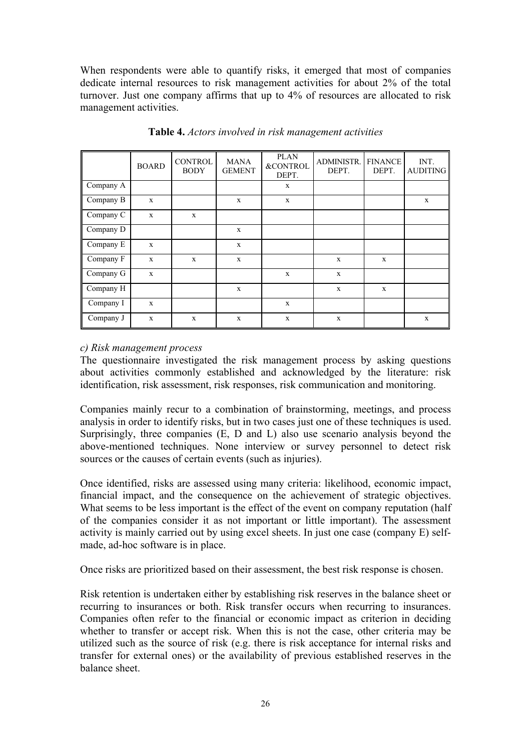When respondents were able to quantify risks, it emerged that most of companies dedicate internal resources to risk management activities for about 2% of the total turnover. Just one company affirms that up to 4% of resources are allocated to risk management activities.

|           | <b>BOARD</b> | <b>CONTROL</b><br><b>BODY</b> | <b>MANA</b><br><b>GEMENT</b> | <b>PLAN</b><br><b>&amp;CONTROL</b><br>DEPT. | <b>ADMINISTR.</b><br>DEPT. | <b>FINANCE</b><br>DEPT. | INT.<br><b>AUDITING</b> |
|-----------|--------------|-------------------------------|------------------------------|---------------------------------------------|----------------------------|-------------------------|-------------------------|
| Company A |              |                               |                              | $\mathbf x$                                 |                            |                         |                         |
| Company B | $\mathbf x$  |                               | $\mathbf x$                  | $\mathbf x$                                 |                            |                         | X                       |
| Company C | $\mathbf X$  | $\mathbf X$                   |                              |                                             |                            |                         |                         |
| Company D |              |                               | $\mathbf X$                  |                                             |                            |                         |                         |
| Company E | $\mathbf x$  |                               | $\mathbf X$                  |                                             |                            |                         |                         |
| Company F | $\mathbf x$  | $\mathbf x$                   | $\mathbf X$                  |                                             | $\mathbf X$                | $\mathbf x$             |                         |
| Company G | $\mathbf x$  |                               |                              | $\mathbf X$                                 | $\mathbf X$                |                         |                         |
| Company H |              |                               | $\mathbf X$                  |                                             | $\mathbf X$                | $\mathbf x$             |                         |
| Company I | $\mathbf x$  |                               |                              | $\mathbf X$                                 |                            |                         |                         |
| Company J | $\mathbf x$  | X                             | $\mathbf x$                  | $\mathbf X$                                 | $\mathbf{x}$               |                         | $\mathbf X$             |

**Table 4.** *Actors involved in risk management activities*

#### *c) Risk management process*

The questionnaire investigated the risk management process by asking questions about activities commonly established and acknowledged by the literature: risk identification, risk assessment, risk responses, risk communication and monitoring.

Companies mainly recur to a combination of brainstorming, meetings, and process analysis in order to identify risks, but in two cases just one of these techniques is used. Surprisingly, three companies (E, D and L) also use scenario analysis beyond the above-mentioned techniques. None interview or survey personnel to detect risk sources or the causes of certain events (such as injuries).

Once identified, risks are assessed using many criteria: likelihood, economic impact, financial impact, and the consequence on the achievement of strategic objectives. What seems to be less important is the effect of the event on company reputation (half of the companies consider it as not important or little important). The assessment activity is mainly carried out by using excel sheets. In just one case (company E) selfmade, ad-hoc software is in place.

Once risks are prioritized based on their assessment, the best risk response is chosen.

Risk retention is undertaken either by establishing risk reserves in the balance sheet or recurring to insurances or both. Risk transfer occurs when recurring to insurances. Companies often refer to the financial or economic impact as criterion in deciding whether to transfer or accept risk. When this is not the case, other criteria may be utilized such as the source of risk (e.g. there is risk acceptance for internal risks and transfer for external ones) or the availability of previous established reserves in the balance sheet.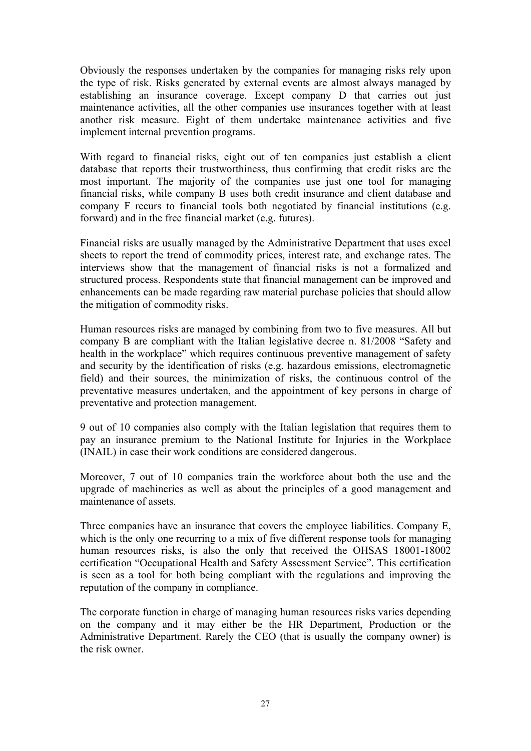Obviously the responses undertaken by the companies for managing risks rely upon the type of risk. Risks generated by external events are almost always managed by establishing an insurance coverage. Except company D that carries out just maintenance activities, all the other companies use insurances together with at least another risk measure. Eight of them undertake maintenance activities and five implement internal prevention programs.

With regard to financial risks, eight out of ten companies just establish a client database that reports their trustworthiness, thus confirming that credit risks are the most important. The majority of the companies use just one tool for managing financial risks, while company B uses both credit insurance and client database and company F recurs to financial tools both negotiated by financial institutions (e.g. forward) and in the free financial market (e.g. futures).

Financial risks are usually managed by the Administrative Department that uses excel sheets to report the trend of commodity prices, interest rate, and exchange rates. The interviews show that the management of financial risks is not a formalized and structured process. Respondents state that financial management can be improved and enhancements can be made regarding raw material purchase policies that should allow the mitigation of commodity risks.

Human resources risks are managed by combining from two to five measures. All but company B are compliant with the Italian legislative decree n. 81/2008 "Safety and health in the workplace" which requires continuous preventive management of safety and security by the identification of risks (e.g. hazardous emissions, electromagnetic field) and their sources, the minimization of risks, the continuous control of the preventative measures undertaken, and the appointment of key persons in charge of preventative and protection management.

9 out of 10 companies also comply with the Italian legislation that requires them to pay an insurance premium to the National Institute for Injuries in the Workplace (INAIL) in case their work conditions are considered dangerous.

Moreover, 7 out of 10 companies train the workforce about both the use and the upgrade of machineries as well as about the principles of a good management and maintenance of assets.

Three companies have an insurance that covers the employee liabilities. Company E, which is the only one recurring to a mix of five different response tools for managing human resources risks, is also the only that received the OHSAS 18001-18002 certification "Occupational Health and Safety Assessment Service". This certification is seen as a tool for both being compliant with the regulations and improving the reputation of the company in compliance.

The corporate function in charge of managing human resources risks varies depending on the company and it may either be the HR Department, Production or the Administrative Department. Rarely the CEO (that is usually the company owner) is the risk owner.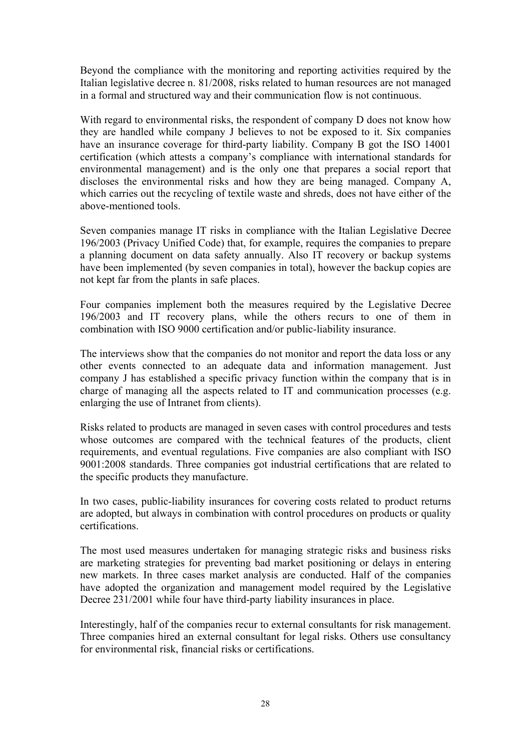Beyond the compliance with the monitoring and reporting activities required by the Italian legislative decree n. 81/2008, risks related to human resources are not managed in a formal and structured way and their communication flow is not continuous.

With regard to environmental risks, the respondent of company D does not know how they are handled while company J believes to not be exposed to it. Six companies have an insurance coverage for third-party liability. Company B got the ISO 14001 certification (which attests a company's compliance with international standards for environmental management) and is the only one that prepares a social report that discloses the environmental risks and how they are being managed. Company A, which carries out the recycling of textile waste and shreds, does not have either of the above-mentioned tools.

Seven companies manage IT risks in compliance with the Italian Legislative Decree 196/2003 (Privacy Unified Code) that, for example, requires the companies to prepare a planning document on data safety annually. Also IT recovery or backup systems have been implemented (by seven companies in total), however the backup copies are not kept far from the plants in safe places.

Four companies implement both the measures required by the Legislative Decree 196/2003 and IT recovery plans, while the others recurs to one of them in combination with ISO 9000 certification and/or public-liability insurance.

The interviews show that the companies do not monitor and report the data loss or any other events connected to an adequate data and information management. Just company J has established a specific privacy function within the company that is in charge of managing all the aspects related to IT and communication processes (e.g. enlarging the use of Intranet from clients).

Risks related to products are managed in seven cases with control procedures and tests whose outcomes are compared with the technical features of the products, client requirements, and eventual regulations. Five companies are also compliant with ISO 9001:2008 standards. Three companies got industrial certifications that are related to the specific products they manufacture.

In two cases, public-liability insurances for covering costs related to product returns are adopted, but always in combination with control procedures on products or quality certifications.

The most used measures undertaken for managing strategic risks and business risks are marketing strategies for preventing bad market positioning or delays in entering new markets. In three cases market analysis are conducted. Half of the companies have adopted the organization and management model required by the Legislative Decree 231/2001 while four have third-party liability insurances in place.

Interestingly, half of the companies recur to external consultants for risk management. Three companies hired an external consultant for legal risks. Others use consultancy for environmental risk, financial risks or certifications.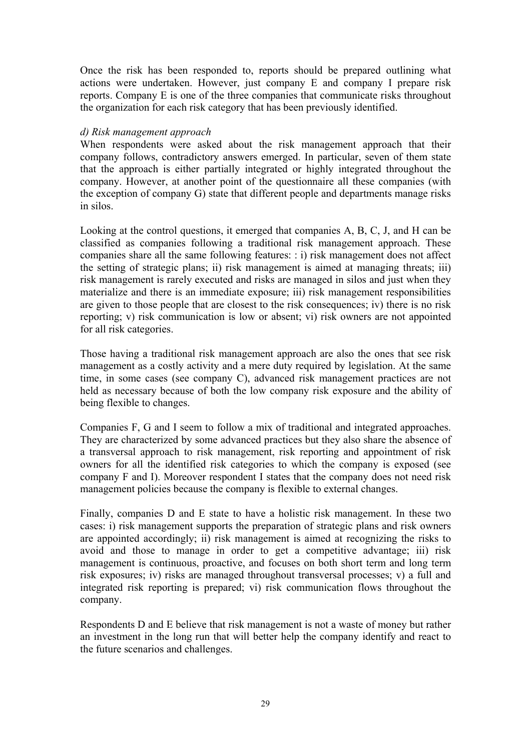Once the risk has been responded to, reports should be prepared outlining what actions were undertaken. However, just company E and company I prepare risk reports. Company E is one of the three companies that communicate risks throughout the organization for each risk category that has been previously identified.

#### *d) Risk management approach*

When respondents were asked about the risk management approach that their company follows, contradictory answers emerged. In particular, seven of them state that the approach is either partially integrated or highly integrated throughout the company. However, at another point of the questionnaire all these companies (with the exception of company G) state that different people and departments manage risks in silos.

Looking at the control questions, it emerged that companies A, B, C, J, and H can be classified as companies following a traditional risk management approach. These companies share all the same following features: : i) risk management does not affect the setting of strategic plans; ii) risk management is aimed at managing threats; iii) risk management is rarely executed and risks are managed in silos and just when they materialize and there is an immediate exposure; iii) risk management responsibilities are given to those people that are closest to the risk consequences; iv) there is no risk reporting; v) risk communication is low or absent; vi) risk owners are not appointed for all risk categories.

Those having a traditional risk management approach are also the ones that see risk management as a costly activity and a mere duty required by legislation. At the same time, in some cases (see company C), advanced risk management practices are not held as necessary because of both the low company risk exposure and the ability of being flexible to changes.

Companies F, G and I seem to follow a mix of traditional and integrated approaches. They are characterized by some advanced practices but they also share the absence of a transversal approach to risk management, risk reporting and appointment of risk owners for all the identified risk categories to which the company is exposed (see company F and I). Moreover respondent I states that the company does not need risk management policies because the company is flexible to external changes.

Finally, companies D and E state to have a holistic risk management. In these two cases: i) risk management supports the preparation of strategic plans and risk owners are appointed accordingly; ii) risk management is aimed at recognizing the risks to avoid and those to manage in order to get a competitive advantage; iii) risk management is continuous, proactive, and focuses on both short term and long term risk exposures; iv) risks are managed throughout transversal processes; v) a full and integrated risk reporting is prepared; vi) risk communication flows throughout the company.

Respondents D and E believe that risk management is not a waste of money but rather an investment in the long run that will better help the company identify and react to the future scenarios and challenges.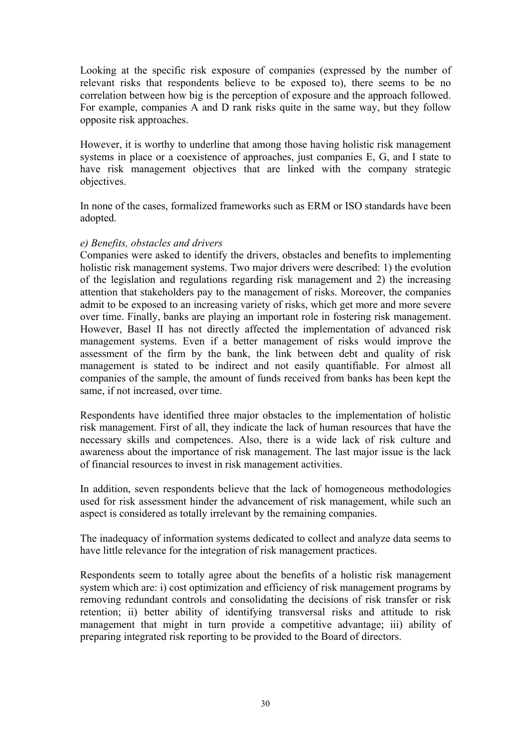Looking at the specific risk exposure of companies (expressed by the number of relevant risks that respondents believe to be exposed to), there seems to be no correlation between how big is the perception of exposure and the approach followed. For example, companies A and D rank risks quite in the same way, but they follow opposite risk approaches.

However, it is worthy to underline that among those having holistic risk management systems in place or a coexistence of approaches, just companies E, G, and I state to have risk management objectives that are linked with the company strategic objectives.

In none of the cases, formalized frameworks such as ERM or ISO standards have been adopted.

#### *e) Benefits, obstacles and drivers*

Companies were asked to identify the drivers, obstacles and benefits to implementing holistic risk management systems. Two major drivers were described: 1) the evolution of the legislation and regulations regarding risk management and 2) the increasing attention that stakeholders pay to the management of risks. Moreover, the companies admit to be exposed to an increasing variety of risks, which get more and more severe over time. Finally, banks are playing an important role in fostering risk management. However, Basel II has not directly affected the implementation of advanced risk management systems. Even if a better management of risks would improve the assessment of the firm by the bank, the link between debt and quality of risk management is stated to be indirect and not easily quantifiable. For almost all companies of the sample, the amount of funds received from banks has been kept the same, if not increased, over time.

Respondents have identified three major obstacles to the implementation of holistic risk management. First of all, they indicate the lack of human resources that have the necessary skills and competences. Also, there is a wide lack of risk culture and awareness about the importance of risk management. The last major issue is the lack of financial resources to invest in risk management activities.

In addition, seven respondents believe that the lack of homogeneous methodologies used for risk assessment hinder the advancement of risk management, while such an aspect is considered as totally irrelevant by the remaining companies.

The inadequacy of information systems dedicated to collect and analyze data seems to have little relevance for the integration of risk management practices.

Respondents seem to totally agree about the benefits of a holistic risk management system which are: i) cost optimization and efficiency of risk management programs by removing redundant controls and consolidating the decisions of risk transfer or risk retention; ii) better ability of identifying transversal risks and attitude to risk management that might in turn provide a competitive advantage; iii) ability of preparing integrated risk reporting to be provided to the Board of directors.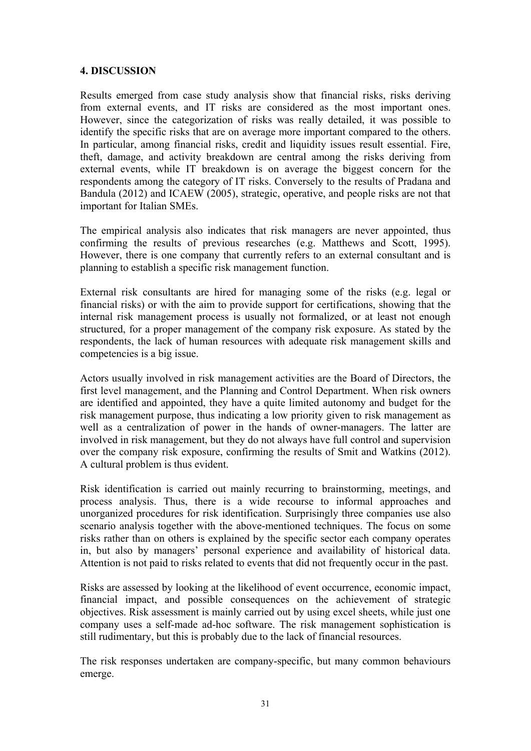#### **4. DISCUSSION**

Results emerged from case study analysis show that financial risks, risks deriving from external events, and IT risks are considered as the most important ones. However, since the categorization of risks was really detailed, it was possible to identify the specific risks that are on average more important compared to the others. In particular, among financial risks, credit and liquidity issues result essential. Fire, theft, damage, and activity breakdown are central among the risks deriving from external events, while IT breakdown is on average the biggest concern for the respondents among the category of IT risks. Conversely to the results of Pradana and Bandula (2012) and ICAEW (2005), strategic, operative, and people risks are not that important for Italian SMEs.

The empirical analysis also indicates that risk managers are never appointed, thus confirming the results of previous researches (e.g. Matthews and Scott, 1995). However, there is one company that currently refers to an external consultant and is planning to establish a specific risk management function.

External risk consultants are hired for managing some of the risks (e.g. legal or financial risks) or with the aim to provide support for certifications, showing that the internal risk management process is usually not formalized, or at least not enough structured, for a proper management of the company risk exposure. As stated by the respondents, the lack of human resources with adequate risk management skills and competencies is a big issue.

Actors usually involved in risk management activities are the Board of Directors, the first level management, and the Planning and Control Department. When risk owners are identified and appointed, they have a quite limited autonomy and budget for the risk management purpose, thus indicating a low priority given to risk management as well as a centralization of power in the hands of owner-managers. The latter are involved in risk management, but they do not always have full control and supervision over the company risk exposure, confirming the results of Smit and Watkins (2012). A cultural problem is thus evident.

Risk identification is carried out mainly recurring to brainstorming, meetings, and process analysis. Thus, there is a wide recourse to informal approaches and unorganized procedures for risk identification. Surprisingly three companies use also scenario analysis together with the above-mentioned techniques. The focus on some risks rather than on others is explained by the specific sector each company operates in, but also by managers' personal experience and availability of historical data. Attention is not paid to risks related to events that did not frequently occur in the past.

Risks are assessed by looking at the likelihood of event occurrence, economic impact, financial impact, and possible consequences on the achievement of strategic objectives. Risk assessment is mainly carried out by using excel sheets, while just one company uses a self-made ad-hoc software. The risk management sophistication is still rudimentary, but this is probably due to the lack of financial resources.

The risk responses undertaken are company-specific, but many common behaviours emerge.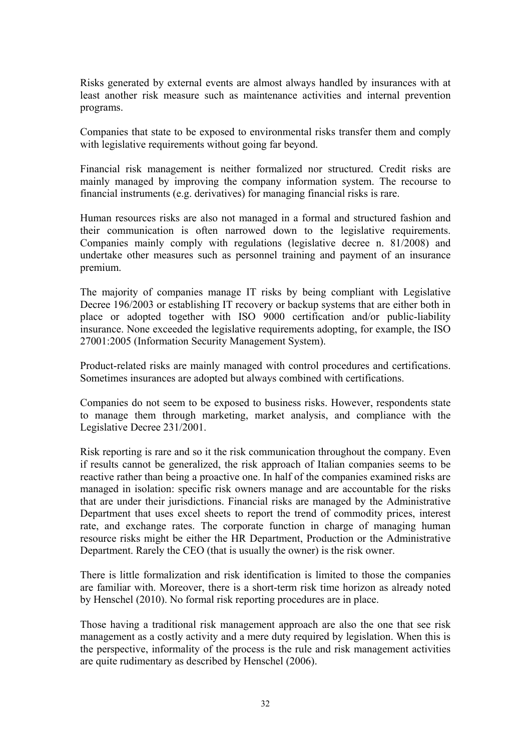Risks generated by external events are almost always handled by insurances with at least another risk measure such as maintenance activities and internal prevention programs.

Companies that state to be exposed to environmental risks transfer them and comply with legislative requirements without going far beyond.

Financial risk management is neither formalized nor structured. Credit risks are mainly managed by improving the company information system. The recourse to financial instruments (e.g. derivatives) for managing financial risks is rare.

Human resources risks are also not managed in a formal and structured fashion and their communication is often narrowed down to the legislative requirements. Companies mainly comply with regulations (legislative decree n. 81/2008) and undertake other measures such as personnel training and payment of an insurance premium.

The majority of companies manage IT risks by being compliant with Legislative Decree 196/2003 or establishing IT recovery or backup systems that are either both in place or adopted together with ISO 9000 certification and/or public-liability insurance. None exceeded the legislative requirements adopting, for example, the ISO 27001:2005 (Information Security Management System).

Product-related risks are mainly managed with control procedures and certifications. Sometimes insurances are adopted but always combined with certifications.

Companies do not seem to be exposed to business risks. However, respondents state to manage them through marketing, market analysis, and compliance with the Legislative Decree 231/2001.

Risk reporting is rare and so it the risk communication throughout the company. Even if results cannot be generalized, the risk approach of Italian companies seems to be reactive rather than being a proactive one. In half of the companies examined risks are managed in isolation: specific risk owners manage and are accountable for the risks that are under their jurisdictions. Financial risks are managed by the Administrative Department that uses excel sheets to report the trend of commodity prices, interest rate, and exchange rates. The corporate function in charge of managing human resource risks might be either the HR Department, Production or the Administrative Department. Rarely the CEO (that is usually the owner) is the risk owner.

There is little formalization and risk identification is limited to those the companies are familiar with. Moreover, there is a short-term risk time horizon as already noted by Henschel (2010). No formal risk reporting procedures are in place.

Those having a traditional risk management approach are also the one that see risk management as a costly activity and a mere duty required by legislation. When this is the perspective, informality of the process is the rule and risk management activities are quite rudimentary as described by Henschel (2006).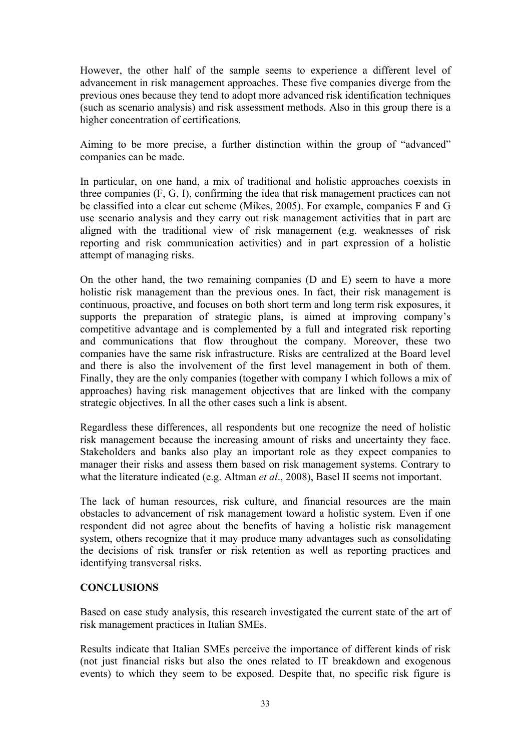However, the other half of the sample seems to experience a different level of advancement in risk management approaches. These five companies diverge from the previous ones because they tend to adopt more advanced risk identification techniques (such as scenario analysis) and risk assessment methods. Also in this group there is a higher concentration of certifications.

Aiming to be more precise, a further distinction within the group of "advanced" companies can be made.

In particular, on one hand, a mix of traditional and holistic approaches coexists in three companies (F, G, I), confirming the idea that risk management practices can not be classified into a clear cut scheme (Mikes, 2005). For example, companies F and G use scenario analysis and they carry out risk management activities that in part are aligned with the traditional view of risk management (e.g. weaknesses of risk reporting and risk communication activities) and in part expression of a holistic attempt of managing risks.

On the other hand, the two remaining companies (D and E) seem to have a more holistic risk management than the previous ones. In fact, their risk management is continuous, proactive, and focuses on both short term and long term risk exposures, it supports the preparation of strategic plans, is aimed at improving company's competitive advantage and is complemented by a full and integrated risk reporting and communications that flow throughout the company. Moreover, these two companies have the same risk infrastructure. Risks are centralized at the Board level and there is also the involvement of the first level management in both of them. Finally, they are the only companies (together with company I which follows a mix of approaches) having risk management objectives that are linked with the company strategic objectives. In all the other cases such a link is absent.

Regardless these differences, all respondents but one recognize the need of holistic risk management because the increasing amount of risks and uncertainty they face. Stakeholders and banks also play an important role as they expect companies to manager their risks and assess them based on risk management systems. Contrary to what the literature indicated (e.g. Altman *et al*., 2008), Basel II seems not important.

The lack of human resources, risk culture, and financial resources are the main obstacles to advancement of risk management toward a holistic system. Even if one respondent did not agree about the benefits of having a holistic risk management system, others recognize that it may produce many advantages such as consolidating the decisions of risk transfer or risk retention as well as reporting practices and identifying transversal risks.

#### **CONCLUSIONS**

Based on case study analysis, this research investigated the current state of the art of risk management practices in Italian SMEs.

Results indicate that Italian SMEs perceive the importance of different kinds of risk (not just financial risks but also the ones related to IT breakdown and exogenous events) to which they seem to be exposed. Despite that, no specific risk figure is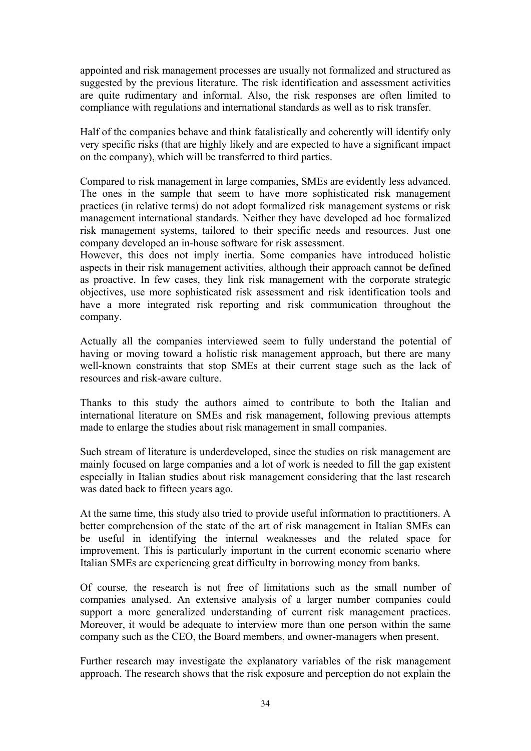appointed and risk management processes are usually not formalized and structured as suggested by the previous literature. The risk identification and assessment activities are quite rudimentary and informal. Also, the risk responses are often limited to compliance with regulations and international standards as well as to risk transfer.

Half of the companies behave and think fatalistically and coherently will identify only very specific risks (that are highly likely and are expected to have a significant impact on the company), which will be transferred to third parties.

Compared to risk management in large companies, SMEs are evidently less advanced. The ones in the sample that seem to have more sophisticated risk management practices (in relative terms) do not adopt formalized risk management systems or risk management international standards. Neither they have developed ad hoc formalized risk management systems, tailored to their specific needs and resources. Just one company developed an in-house software for risk assessment.

However, this does not imply inertia. Some companies have introduced holistic aspects in their risk management activities, although their approach cannot be defined as proactive. In few cases, they link risk management with the corporate strategic objectives, use more sophisticated risk assessment and risk identification tools and have a more integrated risk reporting and risk communication throughout the company.

Actually all the companies interviewed seem to fully understand the potential of having or moving toward a holistic risk management approach, but there are many well-known constraints that stop SMEs at their current stage such as the lack of resources and risk-aware culture.

Thanks to this study the authors aimed to contribute to both the Italian and international literature on SMEs and risk management, following previous attempts made to enlarge the studies about risk management in small companies.

Such stream of literature is underdeveloped, since the studies on risk management are mainly focused on large companies and a lot of work is needed to fill the gap existent especially in Italian studies about risk management considering that the last research was dated back to fifteen years ago.

At the same time, this study also tried to provide useful information to practitioners. A better comprehension of the state of the art of risk management in Italian SMEs can be useful in identifying the internal weaknesses and the related space for improvement. This is particularly important in the current economic scenario where Italian SMEs are experiencing great difficulty in borrowing money from banks.

Of course, the research is not free of limitations such as the small number of companies analysed. An extensive analysis of a larger number companies could support a more generalized understanding of current risk management practices. Moreover, it would be adequate to interview more than one person within the same company such as the CEO, the Board members, and owner-managers when present.

Further research may investigate the explanatory variables of the risk management approach. The research shows that the risk exposure and perception do not explain the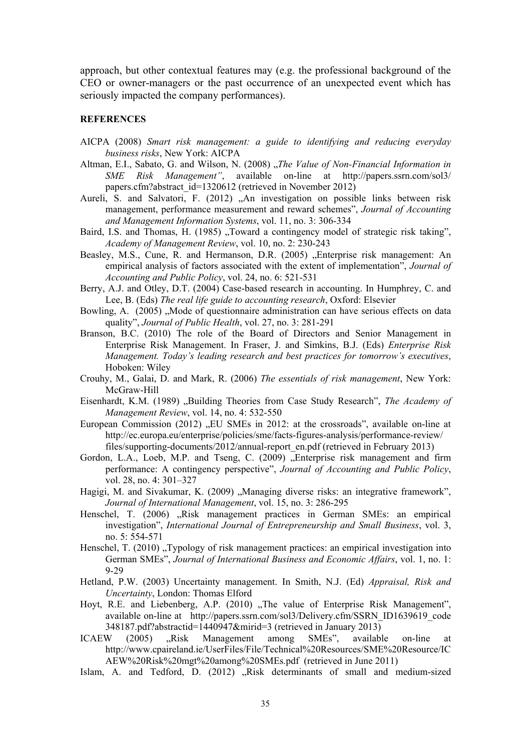approach, but other contextual features may (e.g. the professional background of the CEO or owner-managers or the past occurrence of an unexpected event which has seriously impacted the company performances).

#### **REFERENCES**

- AICPA (2008) *Smart risk management: a guide to identifying and reducing everyday business risks*, New York: AICPA
- Altman, E.I., Sabato, G. and Wilson, N. (2008) "*The Value of Non-Financial Information in SME Risk Management"*, available on-line at http://papers.ssrn.com/sol3/ papers.cfm?abstract\_id=1320612 (retrieved in November 2012)
- Aureli, S. and Salvatori, F. (2012) "An investigation on possible links between risk management, performance measurement and reward schemes", *Journal of Accounting and Management Information Systems*, vol. 11, no. 3: 306-334
- Baird, I.S. and Thomas, H. (1985) "Toward a contingency model of strategic risk taking", *Academy of Management Review*, vol. 10, no. 2: 230-243
- Beasley, M.S., Cune, R. and Hermanson, D.R. (2005) "Enterprise risk management: An empirical analysis of factors associated with the extent of implementation", *Journal of Accounting and Public Policy*, vol. 24, no. 6: 521-531
- Berry, A.J. and Otley, D.T. (2004) Case-based research in accounting. In Humphrey, C. and Lee, B. (Eds) *The real life guide to accounting research*, Oxford: Elsevier
- Bowling, A. (2005) . Mode of questionnaire administration can have serious effects on data quality", *Journal of Public Health*, vol. 27, no. 3: 281-291
- Branson, B.C. (2010) The role of the Board of Directors and Senior Management in Enterprise Risk Management. In Fraser, J. and Simkins, B.J. (Eds) *Enterprise Risk Management. Today's leading research and best practices for tomorrow's executives*, Hoboken: Wiley
- Crouhy, M., Galai, D. and Mark, R. (2006) *The essentials of risk management*, New York: McGraw-Hill
- Eisenhardt, K.M. (1989) "Building Theories from Case Study Research", *The Academy of Management Review*, vol. 14, no. 4: 532-550
- European Commission (2012) "EU SMEs in 2012: at the crossroads", available on-line at http://ec.europa.eu/enterprise/policies/sme/facts-figures-analysis/performance-review/ files/supporting-documents/2012/annual-report\_en.pdf (retrieved in February 2013)
- Gordon, L.A., Loeb, M.P. and Tseng, C. (2009) "Enterprise risk management and firm performance: A contingency perspective", *Journal of Accounting and Public Policy*, vol. 28, no. 4: 301–327
- Hagigi, M. and Sivakumar, K. (2009) "Managing diverse risks: an integrative framework", *Journal of International Management*, vol. 15, no. 3: 286-295
- Henschel, T. (2006) "Risk management practices in German SMEs: an empirical investigation", *International Journal of Entrepreneurship and Small Business*, vol. 3, no. 5: 554-571
- Henschel, T. (2010) "Typology of risk management practices: an empirical investigation into German SMEs", *Journal of International Business and Economic Affairs*, vol. 1, no. 1: 9-29
- Hetland, P.W. (2003) Uncertainty management. In Smith, N.J. (Ed) *Appraisal, Risk and Uncertainty*, London: Thomas Elford
- Hoyt, R.E. and Liebenberg, A.P. (2010) "The value of Enterprise Risk Management", available on-line at http://papers.ssrn.com/sol3/Delivery.cfm/SSRN\_ID1639619\_code 348187.pdf?abstractid=1440947&mirid=3 (retrieved in January 2013)
- ICAEW (2005) "Risk Management among SMEs", available on-line http://www.cpaireland.ie/UserFiles/File/Technical%20Resources/SME%20Resource/IC AEW%20Risk%20mgt%20among%20SMEs.pdf (retrieved in June 2011)
- Islam, A. and Tedford, D. (2012) "Risk determinants of small and medium-sized